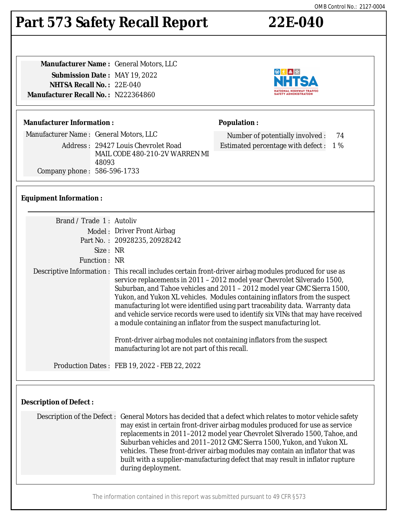#### The information contained in this report was submitted pursuant to 49 CFR §573

## OMB Control No.: 2127-0004

# **Part 573 Safety Recall Report 22E-040**

**Manufacturer Name :** General Motors, LLC **Submission Date :** MAY 19, 2022 **NHTSA Recall No. :** 22E-040 **Manufacturer Recall No. :** N222364860

### **Manufacturer Information :**

Manufacturer Name : General Motors, LLC

Address : 29427 Louis Chevrolet Road MAIL CODE 480-210-2V WARREN MI 48093 Company phone : 586-596-1733

### **Equipment Information :**

| Brand / Trade 1: Autoliv |                                                                                                                                                                                                                                                                                                                                                                                                                                                                                                                                                                                                                                                                                                                       |  |  |
|--------------------------|-----------------------------------------------------------------------------------------------------------------------------------------------------------------------------------------------------------------------------------------------------------------------------------------------------------------------------------------------------------------------------------------------------------------------------------------------------------------------------------------------------------------------------------------------------------------------------------------------------------------------------------------------------------------------------------------------------------------------|--|--|
|                          | Model: Driver Front Airbag                                                                                                                                                                                                                                                                                                                                                                                                                                                                                                                                                                                                                                                                                            |  |  |
|                          | Part No.: 20928235, 20928242                                                                                                                                                                                                                                                                                                                                                                                                                                                                                                                                                                                                                                                                                          |  |  |
| Size: NR                 |                                                                                                                                                                                                                                                                                                                                                                                                                                                                                                                                                                                                                                                                                                                       |  |  |
| Function : NR            |                                                                                                                                                                                                                                                                                                                                                                                                                                                                                                                                                                                                                                                                                                                       |  |  |
|                          | Descriptive Information : This recall includes certain front-driver airbag modules produced for use as<br>service replacements in 2011 - 2012 model year Chevrolet Silverado 1500,<br>Suburban, and Tahoe vehicles and 2011 - 2012 model year GMC Sierra 1500,<br>Yukon, and Yukon XL vehicles. Modules containing inflators from the suspect<br>manufacturing lot were identified using part traceability data. Warranty data<br>and vehicle service records were used to identify six VINs that may have received<br>a module containing an inflator from the suspect manufacturing lot.<br>Front-driver airbag modules not containing inflators from the suspect<br>manufacturing lot are not part of this recall. |  |  |
|                          | Production Dates: FEB 19, 2022 - FEB 22, 2022                                                                                                                                                                                                                                                                                                                                                                                                                                                                                                                                                                                                                                                                         |  |  |

## **Description of Defect :**

Description of the Defect : General Motors has decided that a defect which relates to motor vehicle safety may exist in certain front-driver airbag modules produced for use as service replacements in 2011–2012 model year Chevrolet Silverado 1500, Tahoe, and Suburban vehicles and 2011–2012 GMC Sierra 1500, Yukon, and Yukon XL vehicles. These front-driver airbag modules may contain an inflator that was built with a supplier-manufacturing defect that may result in inflator rupture during deployment.



Number of potentially involved : 74 Estimated percentage with defect : 1 %

**NATIONAL HIGHWAY TRAFFIC**<br>SAFETY ADMINISTRATION

◎大▲☆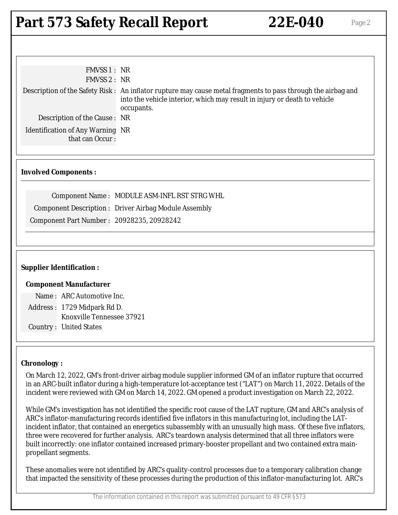## **Part 573 Safety Recall Report 22E-040** Page 2

| FMVSS 1: NR<br>FMVSS 2: NR                                 |                                                                                                                                                                                                         |  |
|------------------------------------------------------------|---------------------------------------------------------------------------------------------------------------------------------------------------------------------------------------------------------|--|
|                                                            | Description of the Safety Risk: An inflator rupture may cause metal fragments to pass through the airbag and<br>into the vehicle interior, which may result in injury or death to vehicle<br>occupants. |  |
| Description of the Cause: NR                               |                                                                                                                                                                                                         |  |
| <b>Identification of Any Warning NR</b><br>that can Occur: |                                                                                                                                                                                                         |  |
| <b>Involved Components:</b>                                |                                                                                                                                                                                                         |  |
|                                                            | Component Name: MODULE ASM-INFL RST STRG WHL                                                                                                                                                            |  |
|                                                            | <b>Component Description: Driver Airbag Module Assembly</b>                                                                                                                                             |  |
| Component Part Number: 20928235, 20928242                  |                                                                                                                                                                                                         |  |
|                                                            |                                                                                                                                                                                                         |  |
| <b>Supplier Identification:</b>                            |                                                                                                                                                                                                         |  |
| <b>Component Manufacturer</b>                              |                                                                                                                                                                                                         |  |
| Name: ARC Automotive Inc.                                  |                                                                                                                                                                                                         |  |
| Address: 1729 Midpark Rd D.                                |                                                                                                                                                                                                         |  |
| Knoxville Tennessee 37921                                  |                                                                                                                                                                                                         |  |
| <b>Country: United States</b>                              |                                                                                                                                                                                                         |  |

### **Chronology :**

On March 12, 2022, GM's front-driver airbag module supplier informed GM of an inflator rupture that occurred in an ARC-built inflator during a high-temperature lot-acceptance test ("LAT") on March 11, 2022. Details of the incident were reviewed with GM on March 14, 2022. GM opened a product investigation on March 22, 2022.

While GM's investigation has not identified the specific root cause of the LAT rupture, GM and ARC's analysis of ARC's inflator-manufacturing records identified five inflators in this manufacturing lot, including the LATincident inflator, that contained an energetics subassembly with an unusually high mass. Of these five inflators, three were recovered for further analysis. ARC's teardown analysis determined that all three inflators were built incorrectly: one inflator contained increased primary-booster propellant and two contained extra mainpropellant segments.

These anomalies were not identified by ARC's quality-control processes due to a temporary calibration change that impacted the sensitivity of these processes during the production of this inflator-manufacturing lot. ARC's

The information contained in this report was submitted pursuant to 49 CFR §573